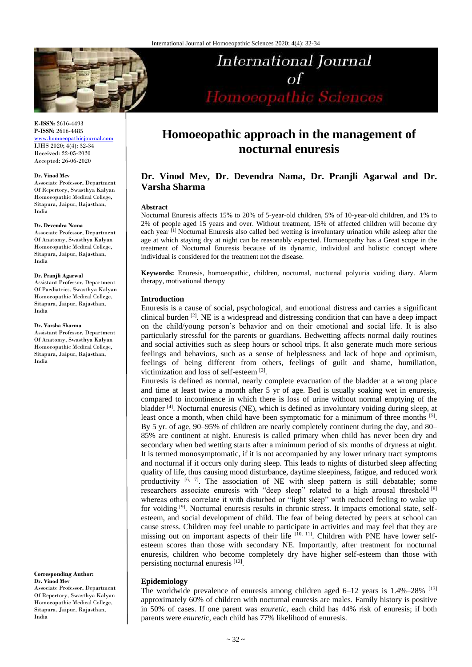

# **International Journal**  $\sigma$ f Homoeopathic Sciences

**E-ISSN:** 2616-4493 **P-ISSN:** 2616-4485

[www.homoeopathicjournal.com](file://Server/test/homoeopathicjournal/issue/vol%204/issue%201/www.homoeopathicjournal.com) IJHS 2020; 4(4): 32-34 Received: 22-05-2020 Accepted: 26-06-2020

#### **Dr. Vinod Mev**

Associate Professor, Department Of Repertory, Swasthya Kalyan Homoeopathic Medical College, Sitapura, Jaipur, Rajasthan, India

#### **Dr. Devendra Nama**

Associate Professor, Department Of Anatomy, Swasthya Kalyan Homoeopathic Medical College, Sitapura, Jaipur, Rajasthan, India

#### **Dr. Pranjli Agarwal**

Assistant Professor, Department Of Paediatrics, Swasthya Kalyan Homoeopathic Medical College, Sitapura, Jaipur, Rajasthan, India

#### **Dr. Varsha Sharma**

Assistant Professor, Department Of Anatomy, Swasthya Kalyan Homoeopathic Medical College, Sitapura, Jaipur, Rajasthan, India

**Corresponding Author: Dr. Vinod Mev**  Associate Professor, Department Of Repertory, Swasthya Kalyan Homoeopathic Medical College, Sitapura, Jaipur, Rajasthan, India

## **Homoeopathic approach in the management of nocturnal enuresis**

## **Dr. Vinod Mev, Dr. Devendra Nama, Dr. Pranjli Agarwal and Dr. Varsha Sharma**

#### **Abstract**

Nocturnal Enuresis affects 15% to 20% of 5-year-old children, 5% of 10-year-old children, and 1% to 2% of people aged 15 years and over. Without treatment, 15% of affected children will become dry each year [1] Nocturnal Enuresis also called bed wetting is involuntary urination while asleep after the age at which staying dry at night can be reasonably expected. Homoeopathy has a Great scope in the treatment of Nocturnal Enuresis because of its dynamic, individual and holistic concept where individual is considered for the treatment not the disease.

**Keywords:** Enuresis, homoeopathic, children, nocturnal*,* nocturnal polyuria voiding diary. Alarm therapy, motivational therapy

#### **Introduction**

Enuresis is a cause of social, psychological, and emotional distress and carries a significant clinical burden  $[2]$ . NE is a widespread and distressing condition that can have a deep impact on the child/young person's behavior and on their emotional and social life. It is also particularly stressful for the parents or guardians. Bedwetting affects normal daily routines and social activities such as sleep hours or school trips. It also generate much more serious feelings and behaviors, such as a sense of helplessness and lack of hope and optimism, feelings of being different from others, feelings of guilt and shame, humiliation, victimization and loss of self-esteem [3].

Enuresis is defined as normal, nearly complete evacuation of the bladder at a wrong place and time at least twice a month after 5 yr of age. Bed is usually soaking wet in enuresis, compared to incontinence in which there is loss of urine without normal emptying of the bladder [4]. Nocturnal enuresis (NE), which is defined as involuntary voiding during sleep, at least once a month, when child have been symptomatic for a minimum of three months [5]. By 5 yr. of age, 90–95% of children are nearly completely continent during the day, and 80– 85% are continent at night. Enuresis is called primary when child has never been dry and secondary when bed wetting starts after a minimum period of six months of dryness at night. It is termed monosymptomatic, if it is not accompanied by any lower urinary tract symptoms and nocturnal if it occurs only during sleep. This leads to nights of disturbed sleep affecting quality of life, thus causing mood disturbance, daytime sleepiness, fatigue, and reduced work productivity  $[6, 7]$ . The association of NE with sleep pattern is still debatable; some researchers associate enuresis with "deep sleep" related to a high arousal threshold [8] whereas others correlate it with disturbed or "light sleep" with reduced feeling to wake up for voiding <sup>[9]</sup>. Nocturnal enuresis results in chronic stress. It impacts emotional state, selfesteem, and social development of child. The fear of being detected by peers at school can cause stress. Children may feel unable to participate in activities and may feel that they are missing out on important aspects of their life  $[10, 11]$ . Children with PNE have lower selfesteem scores than those with secondary NE. Importantly, after treatment for nocturnal enuresis, children who become completely dry have higher self-esteem than those with persisting nocturnal enuresis [12].

#### **Epidemiology**

The worldwide prevalence of enuresis among children aged  $6-12$  years is  $1.4\% - 28\%$  [13] approximately 60% of children with nocturnal enuresis are males. Family history is positive in 50% of cases. If one parent was *enuretic*, each child has 44% risk of enuresis; if both parents were *enuretic*, each child has 77% likelihood of enuresis.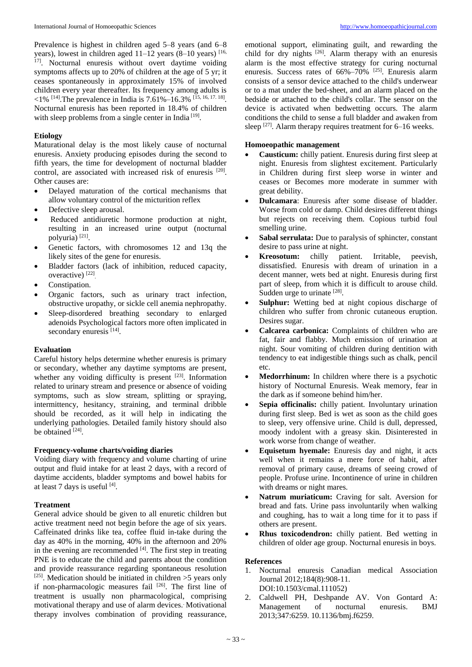Prevalence is highest in children aged 5–8 years (and 6–8 years), lowest in children aged  $11-12$  years  $(8-10)$  years) [16, <sup>17]</sup>. Nocturnal enuresis without overt daytime voiding symptoms affects up to 20% of children at the age of 5 yr; it ceases spontaneously in approximately 15% of involved children every year thereafter. Its frequency among adults is  $\langle 1\% \,$  [14]. The prevalence in India is 7.61%–16.3% [15, 16, 17. 18]. Nocturnal enuresis has been reported in 18.4% of children with sleep problems from a single center in India<sup>[19]</sup>.

### **Etiology**

Maturational delay is the most likely cause of nocturnal enuresis. Anxiety producing episodes during the second to fifth years, the time for development of nocturnal bladder control, are associated with increased risk of enuresis [20]. Other causes are:

- Delayed maturation of the cortical mechanisms that allow voluntary control of the micturition reflex
- Defective sleep arousal.
- Reduced antidiuretic hormone production at night, resulting in an increased urine output (nocturnal polyuria)<sup>[21]</sup>.
- Genetic factors, with chromosomes 12 and 13q the likely sites of the gene for enuresis.
- Bladder factors (lack of inhibition, reduced capacity, overactive)<sup>[22]</sup>
- Constipation.
- Organic factors, such as urinary tract infection, obstructive uropathy, or sickle cell anemia nephropathy.
- Sleep-disordered breathing secondary to enlarged adenoids Psychological factors more often implicated in secondary enuresis<sup>[14]</sup>.

## **Evaluation**

Careful history helps determine whether enuresis is primary or secondary, whether any daytime symptoms are present, whether any voiding difficulty is present  $[23]$ . Information related to urinary stream and presence or absence of voiding symptoms, such as slow stream, splitting or spraying, intermittency, hesitancy, straining, and terminal dribble should be recorded, as it will help in indicating the underlying pathologies. Detailed family history should also be obtained [24].

#### **Frequency-volume charts/voiding diaries**

Voiding diary with frequency and volume charting of urine output and fluid intake for at least 2 days, with a record of daytime accidents, bladder symptoms and bowel habits for at least 7 days is useful [4].

## **Treatment**

General advice should be given to all enuretic children but active treatment need not begin before the age of six years. Caffeinated drinks like tea, coffee fluid in-take during the day as 40% in the morning, 40% in the afternoon and 20% in the evening are recommended  $[4]$ . The first step in treating PNE is to educate the child and parents about the condition and provide reassurance regarding spontaneous resolution <sup>[25]</sup>. Medication should be initiated in children  $>5$  years only if non-pharmacologic measures fail [26]. The first line of treatment is usually non pharmacological, comprising motivational therapy and use of alarm devices.. Motivational therapy involves combination of providing reassurance,

emotional support, eliminating guilt, and rewarding the child for dry nights  $[26]$ . Alarm therapy with an enuresis alarm is the most effective strategy for curing nocturnal enuresis. Success rates of 66%-70% <sup>[25]</sup>. Enuresis alarm consists of a sensor device attached to the child's underwear or to a mat under the bed-sheet, and an alarm placed on the bedside or attached to the child's collar. The sensor on the device is activated when bedwetting occurs. The alarm conditions the child to sense a full bladder and awaken from sleep  $[27]$ . Alarm therapy requires treatment for 6–16 weeks.

### **Homoeopathic management**

- **Causticum:** chilly patient. Enuresis during first sleep at night. Enuresis from slightest excitement. Particularly in Children during first sleep worse in winter and ceases or Becomes more moderate in summer with great debility.
- **Dulcamara**: Enuresis after some disease of bladder. Worse from cold or damp. Child desires different things but rejects on receiving them. Copious turbid foul smelling urine.
- **Sabal serrulata:** Due to paralysis of sphincter, constant desire to pass urine at night.
- **Kreosotum:** chilly patient. Irritable, peevish, dissatisfied. Enuresis with dream of urination in a decent manner, wets bed at night. Enuresis during first part of sleep, from which it is difficult to arouse child. Sudden urge to urinate [28].
- **Sulphur:** Wetting bed at night copious discharge of children who suffer from chronic cutaneous eruption. Desires sugar.
- **Calcarea carbonica:** Complaints of children who are fat, fair and flabby. Much emission of urination at night. Sour vomiting of children during dentition with tendency to eat indigestible things such as chalk, pencil etc.
- **Medorrhinum:** In children where there is a psychotic history of Nocturnal Enuresis. Weak memory, fear in the dark as if someone behind him/her.
- **Sepia officinalis:** chilly patient. Involuntary urination during first sleep. Bed is wet as soon as the child goes to sleep, very offensive urine. Child is dull, depressed, moody indolent with a greasy skin. Disinterested in work worse from change of weather.
- **Equisetum hyemale:** Enuresis day and night, it acts well when it remains a mere force of habit, after removal of primary cause, dreams of seeing crowd of people. Profuse urine. Incontinence of urine in children with dreams or night mares.
- **Natrum muriaticum:** Craving for salt. Aversion for bread and fats. Urine pass involuntarily when walking and coughing, has to wait a long time for it to pass if others are present.
- **Rhus toxicodendron:** chilly patient. Bed wetting in children of older age group. Nocturnal enuresis in boys.

## **References**

- 1. Nocturnal enuresis Canadian medical Association Journal 2012;184(8):908-11. DOI:10.1503/cmal.111052)
- 2. Caldwell PH, Deshpande AV. Von Gontard A: Management of nocturnal enuresis. BMJ 2013;347:6259. 10.1136/bmj.f6259.